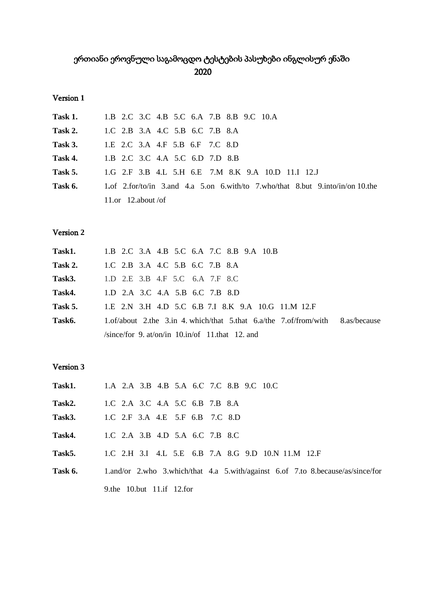# ერთიანი ეროვნული საგამოცდო ტესტების პასუხები ინგლისურ ენაში 2020

#### Version  $1$

| <b>Task 1.</b> 1.B 2.C 3.C 4.B 5.C 6.A 7.B 8.B 9.C 10.A                                                 |
|---------------------------------------------------------------------------------------------------------|
| <b>Task 2.</b> 1.C 2.B 3.A 4.C 5.B 6.C 7.B 8.A                                                          |
| <b>Task 3.</b> 1.E 2.C 3.A 4.F 5.B 6.F 7.C 8.D                                                          |
| <b>Task 4.</b> 1.B 2.C 3.C 4.A 5.C 6.D 7.D 8.B                                                          |
| <b>Task 5.</b> 1.G 2.F 3.B 4.L 5.H 6.E 7.M 8.K 9.A 10.D 11.I 12.J                                       |
| <b>Task 6.</b> 1. of 2. for/to/in 3. and 4. a 5. on 6. with/to 7. who/that 8. but 9. into/in/on 10. the |
| 11.or 12.about/of                                                                                       |

### Version  $2$

|         | <b>Task1.</b> 1.B 2.C 3.A 4.B 5.C 6.A 7.C 8.B 9.A 10.B                               |
|---------|--------------------------------------------------------------------------------------|
| Task 2. | 1.C 2.B 3.A 4.C 5.B 6.C 7.B 8.A                                                      |
|         | <b>Task3.</b> 1.D 2.E 3.B 4.F 5.C 6.A 7.F 8.C                                        |
|         | <b>Task4.</b> 1.D 2.A 3.C 4.A 5.B 6.C 7.B 8.D                                        |
| Task 5. | 1.E 2.N 3.H 4.D 5.C 6.B 7.I 8.K 9.A 10.G 11.M 12.F                                   |
| Task6.  | 1.of/about 2.the 3.in 4. which/that 5.that $6.2$ /the $7.0$ f/from/with 8.as/because |
|         | /since/for 9. at/on/in $10.in$ /of 11.that 12. and                                   |

## Version 3

|        | <b>Task1.</b> 1.A 2.A 3.B 4.B 5.A 6.C 7.C 8.B 9.C 10.C                                         |
|--------|------------------------------------------------------------------------------------------------|
| Task2. | 1.C 2.A 3.C 4.A 5.C 6.B 7.B 8.A                                                                |
|        | <b>Task3.</b> 1.C 2.F 3.A 4.E 5.F 6.B 7.C 8.D                                                  |
|        | <b>Task4.</b> 1.C 2.A 3.B 4.D 5.A 6.C 7.B 8.C                                                  |
| Task5. | 1.C 2.H 3.I 4.L 5.E 6.B 7.A 8.G 9.D 10.N 11.M 12.F                                             |
|        | <b>Task 6.</b> 1.and/or 2.who 3.which/that 4.a 5.with/against 6.of 7.to 8.because/as/since/for |
|        | 9.the 10.but 11.if 12.for                                                                      |